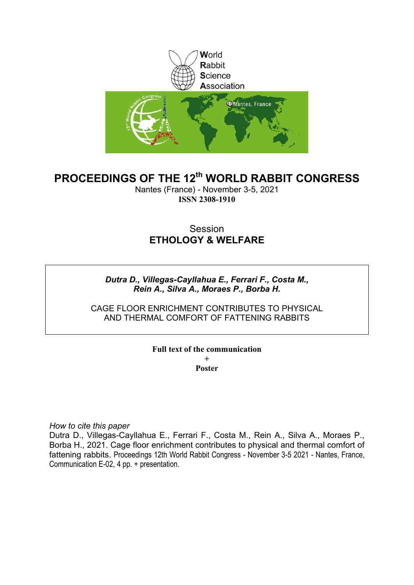

# **PROCEEDINGS OF THE 12th WORLD RABBIT CONGRESS**

Nantes (France) - November 3-5, 2021 **ISSN 2308-1910**

# **Session ETHOLOGY & WELFARE**

## *Dutra D., Villegas-Cayllahua E., Ferrari F., Costa M., Rein A., Silva A., Moraes P., Borba H.*

CAGE FLOOR ENRICHMENT CONTRIBUTES TO PHYSICAL AND THERMAL COMFORT OF FATTENING RABBITS

### **Full text of the communication + Poster**

*How to cite this paper*

Dutra D., Villegas-Cayllahua E., Ferrari F., Costa M., Rein A., Silva A., Moraes P., Borba H., 2021. Cage floor enrichment contributes to physical and thermal comfort of fattening rabbits. Proceedings 12th World Rabbit Congress - November 3-5 2021 - Nantes, France, Communication E-02, 4 pp. + presentation.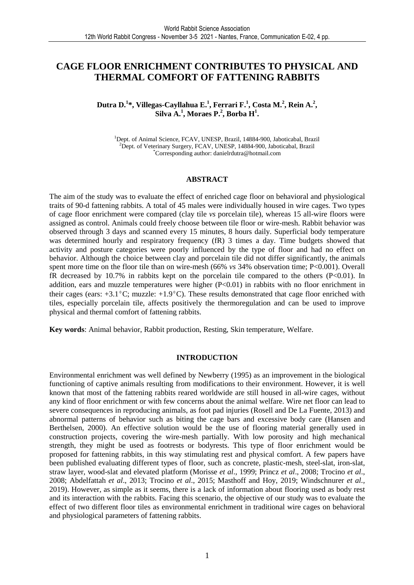## **CAGE FLOOR ENRICHMENT CONTRIBUTES TO PHYSICAL AND THERMAL COMFORT OF FATTENING RABBITS**

## **Dutra D.<sup>1</sup> \*, Villegas-Cayllahua E.<sup>1</sup> , Ferrari F.<sup>1</sup> , Costa M.<sup>2</sup> , Rein A.<sup>2</sup> , Silva A.<sup>1</sup> , Moraes P.<sup>2</sup> , Borba H<sup>1</sup> .**

<sup>1</sup>Dept. of Animal Science, FCAV, UNESP, Brazil, 14884-900, Jaboticabal, Brazil <sup>2</sup>Dept. of Veterinary Surgery, FCAV, UNESP, 14884-900, Jaboticabal, Brazil \*Corresponding author: danielrdutra@hotmail.com

#### **ABSTRACT**

The aim of the study was to evaluate the effect of enriched cage floor on behavioral and physiological traits of 90-d fattening rabbits. A total of 45 males were individually housed in wire cages. Two types of cage floor enrichment were compared (clay tile *vs* porcelain tile), whereas 15 all-wire floors were assigned as control. Animals could freely choose between tile floor or wire-mesh. Rabbit behavior was observed through 3 days and scanned every 15 minutes, 8 hours daily. Superficial body temperature was determined hourly and respiratory frequency (fR) 3 times a day. Time budgets showed that activity and posture categories were poorly influenced by the type of floor and had no effect on behavior. Although the choice between clay and porcelain tile did not differ significantly, the animals spent more time on the floor tile than on wire-mesh (66% *vs* 34% observation time; P<0.001). Overall fR decreased by 10.7% in rabbits kept on the porcelain tile compared to the others  $(P<0.01)$ . In addition, ears and muzzle temperatures were higher (P<0.01) in rabbits with no floor enrichment in their cages (ears:  $+3.1^{\circ}$ C; muzzle:  $+1.9^{\circ}$ C). These results demonstrated that cage floor enriched with tiles, especially porcelain tile, affects positively the thermoregulation and can be used to improve physical and thermal comfort of fattening rabbits.

**Key words**: Animal behavior, Rabbit production, Resting, Skin temperature, Welfare.

#### **INTRODUCTION**

Environmental enrichment was well defined by Newberry (1995) as an improvement in the biological functioning of captive animals resulting from modifications to their environment. However, it is well known that most of the fattening rabbits reared worldwide are still housed in all-wire cages, without any kind of floor enrichment or with few concerns about the animal welfare. Wire net floor can lead to severe consequences in reproducing animals, as foot pad injuries (Rosell and De La Fuente, 2013) and abnormal patterns of behavior such as biting the cage bars and excessive body care (Hansen and Berthelsen, 2000). An effective solution would be the use of flooring material generally used in construction projects, covering the wire-mesh partially. With low porosity and high mechanical strength, they might be used as footrests or bodyrests. This type of floor enrichment would be proposed for fattening rabbits, in this way stimulating rest and physical comfort. A few papers have been published evaluating different types of floor, such as concrete, plastic-mesh, steel-slat, iron-slat, straw layer, wood-slat and elevated platform (Morisse *et al*., 1999; Princz *et al*., 2008; Trocino *et al*., 2008; Abdelfattah *et al*., 2013; Trocino *et al*., 2015; Masthoff and Hoy, 2019; Windschnurer *et al.,* 2019). However, as simple as it seems, there is a lack of information about flooring used as body rest and its interaction with the rabbits. Facing this scenario, the objective of our study was to evaluate the effect of two different floor tiles as environmental enrichment in traditional wire cages on behavioral and physiological parameters of fattening rabbits.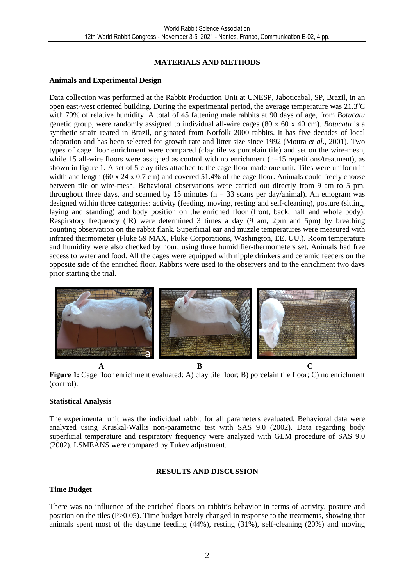## **MATERIALS AND METHODS**

#### **Animals and Experimental Design**

Data collection was performed at the Rabbit Production Unit at UNESP, Jaboticabal, SP, Brazil, in an open east-west oriented building. During the experimental period, the average temperature was  $21.3^{\circ}$ C with 79% of relative humidity. A total of 45 fattening male rabbits at 90 days of age, from *Botucatu* genetic group, were randomly assigned to individual all-wire cages (80 x 60 x 40 cm). *Botucatu* is a synthetic strain reared in Brazil, originated from Norfolk 2000 rabbits. It has five decades of local adaptation and has been selected for growth rate and litter size since 1992 (Moura *et al*., 2001). Two types of cage floor enrichment were compared (clay tile *vs* porcelain tile) and set on the wire-mesh, while 15 all-wire floors were assigned as control with no enrichment (n=15 repetitions/treatment), as shown in figure 1. A set of 5 clay tiles attached to the cage floor made one unit. Tiles were uniform in width and length (60 x 24 x 0.7 cm) and covered 51.4% of the cage floor. Animals could freely choose between tile or wire-mesh. Behavioral observations were carried out directly from 9 am to 5 pm, throughout three days, and scanned by 15 minutes ( $n = 33$  scans per day/animal). An ethogram was designed within three categories: activity (feeding, moving, resting and self-cleaning), posture (sitting, laying and standing) and body position on the enriched floor (front, back, half and whole body). Respiratory frequency (fR) were determined 3 times a day (9 am, 2pm and 5pm) by breathing counting observation on the rabbit flank. Superficial ear and muzzle temperatures were measured with infrared thermometer (Fluke 59 MAX, Fluke Corporations, Washington, EE. UU.). Room temperature and humidity were also checked by hour, using three humidifier-thermometers set. Animals had free access to water and food. All the cages were equipped with nipple drinkers and ceramic feeders on the opposite side of the enriched floor. Rabbits were used to the observers and to the enrichment two days prior starting the trial.



**Figure 1:** Cage floor enrichment evaluated: A) clay tile floor; B) porcelain tile floor; C) no enrichment (control).

### **Statistical Analysis**

The experimental unit was the individual rabbit for all parameters evaluated. Behavioral data were analyzed using Kruskal-Wallis non-parametric test with SAS 9.0 (2002). Data regarding body superficial temperature and respiratory frequency were analyzed with GLM procedure of SAS 9.0 (2002). LSMEANS were compared by Tukey adjustment.

### **RESULTS AND DISCUSSION**

#### **Time Budget**

There was no influence of the enriched floors on rabbit's behavior in terms of activity, posture and position on the tiles (P>0.05). Time budget barely changed in response to the treatments, showing that animals spent most of the daytime feeding (44%), resting (31%), self-cleaning (20%) and moving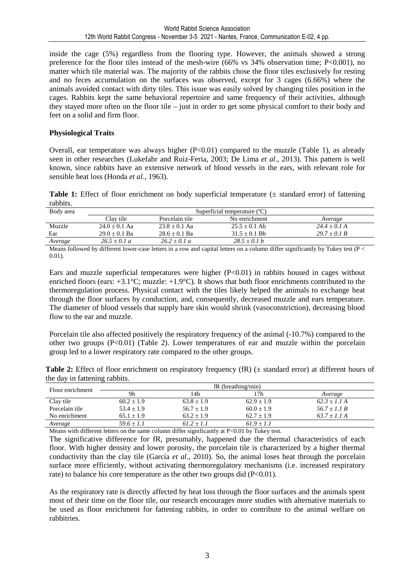inside the cage (5%) regardless from the flooring type. However, the animals showed a strong preference for the floor tiles instead of the mesh-wire (66% vs  $34\%$  observation time; P<0.001), no matter which tile material was. The majority of the rabbits chose the floor tiles exclusively for resting and no feces accumulation on the surfaces was observed, except for 3 cages (6.66%) where the animals avoided contact with dirty tiles. This issue was easily solved by changing tiles position in the cages. Rabbits kept the same behavioral repertoire and same frequency of their activities, although they stayed more often on the floor tile – just in order to get some physical comfort to their body and feet on a solid and firm floor.

### **Physiological Traits**

Overall, ear temperature was always higher  $(P<0.01)$  compared to the muzzle (Table 1), as already seen in other researches (Lukefahr and Ruiz-Feria, 2003; De Lima *et al*., 2013). This pattern is well known, since rabbits have an extensive network of blood vessels in the ears, with relevant role for sensible heat loss (Honda *et al*., 1963).

**Table 1:** Effect of floor enrichment on body superficial temperature ( $\pm$  standard error) of fattening rabbits.

| Body area | Superficial temperature $(C)$ |                 |                 |                |  |
|-----------|-------------------------------|-----------------|-----------------|----------------|--|
|           | Clay tile                     | Porcelain tile  | No enrichment   | Average        |  |
| Muzzle    | $24.0 + 0.1$ Aa               | $23.8 + 0.1$ Aa | $25.5 + 0.1$ Ab | $24.4 + 0.1$ A |  |
| Ear       | $29.0 + 0.1$ Ba               | $28.6 + 0.1$ Ba | $31.5 + 0.1$ Bb | $29.7 + 0.1 B$ |  |
| Average   | $26.5 + 0.1 a$                | $26.2 + 0.1 a$  | $28.5 + 0.1 b$  |                |  |

Means followed by different lower-case letters in a row and capital letters on a column differ significantly by Tukey test ( $P \leq$ 0.01).

Ears and muzzle superficial temperatures were higher  $(P<0.01)$  in rabbits housed in cages without enriched floors (ears: +3.1°C; muzzle: +1.9°C). It shows that both floor enrichments contributed to the thermoregulation process. Physical contact with the tiles likely helped the animals to exchange heat through the floor surfaces by conduction, and, consequently, decreased muzzle and ears temperature. The diameter of blood vessels that supply bare skin would shrink (vasoconstriction), decreasing blood flow to the ear and muzzle.

Porcelain tile also affected positively the respiratory frequency of the animal (-10.7%) compared to the other two groups  $(P<0.01)$  (Table 2). Lower temperatures of ear and muzzle within the porcelain group led to a lower respiratory rate compared to the other groups.

**Table 2:** Effect of floor enrichment on respiratory frequency (fR) ( $\pm$  standard error) at different hours of the day in fattening rabbits.

| Floor enrichment | $fR$ (breathing/min) |                |                |                |  |
|------------------|----------------------|----------------|----------------|----------------|--|
|                  | 9h                   | 14h            | 7h             | Average        |  |
| Clay tile        | $60.2 \pm 1.9$       | $63.8 \pm 1.9$ | $62.9 \pm 1.9$ | $62.3 + 1.1A$  |  |
| Porcelain tile   | $53.4 + 1.9$         | $56.7 \pm 1.9$ | $60.0 \pm 1.9$ | $56.7 + 1.1 B$ |  |
| No enrichment    | $65.1 + 1.9$         | $63.2 + 1.9$   | $62.7 + 1.9$   | $63.7 + 1.1A$  |  |
| Average          | 59.6 $\pm$ 1.1       | $61.2 \pm 1.1$ | $61.9 \pm 1.1$ |                |  |

Means with different letters on the same column differ significantly at P<0.01 by Tukey test.

The significative difference for fR, presumably, happened due the thermal characteristics of each floor. With higher density and lower porosity, the porcelain tile is characterized by a higher thermal conductivity than the clay tile (García *et al*.*,* 2010). So, the animal loses heat through the porcelain surface more efficiently, without activating thermoregulatory mechanisms (i.e. increased respiratory rate) to balance his core temperature as the other two groups did  $(P<0.01)$ .

As the respiratory rate is directly affected by heat loss through the floor surfaces and the animals spent most of their time on the floor tile, our research encourages more studies with alternative materials to be used as floor enrichment for fattening rabbits, in order to contribute to the animal welfare on rabbitries.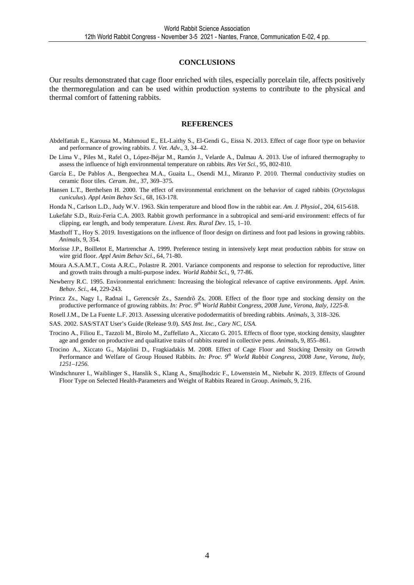#### **CONCLUSIONS**

Our results demonstrated that cage floor enriched with tiles, especially porcelain tile, affects positively the thermoregulation and can be used within production systems to contribute to the physical and thermal comfort of fattening rabbits.

#### **REFERENCES**

- Abdelfattah E., Karousa M., Mahmoud E., EL-Laithy S., El-Gendi G., Eissa N. 2013. Effect of cage floor type on behavior and performance of growing rabbits. *J. Vet. Adv*., 3, 34–42.
- De Lima V., Piles M., Rafel O., López-Béjar M., Ramón J., Velarde A., Dalmau A. 2013. Use of infrared thermography to assess the influence of high environmental temperature on rabbits*. Res Vet Sci.,* 95, 802-810.
- García E., De Pablos A., Bengoechea M.A., Guaita L., Osendi M.I., Miranzo P. 2010. Thermal conductivity studies on ceramic floor tiles. *Ceram. Int.,* 37, 369–375.
- Hansen L.T., Berthelsen H. 2000. The effect of environmental enrichment on the behavior of caged rabbits (*Oryctolagus cuniculus*). *Appl Anim Behav Sci.,* 68, 163-178.
- Honda N., Carlson L.D., Judy W.V. 1963. Skin temperature and blood flow in the rabbit ear. *Am. J. Physiol*., 204, 615-618.
- Lukefahr S.D., Ruiz-Feria C.A. 2003. Rabbit growth performance in a subtropical and semi-arid environment: effects of fur clipping, ear length, and body temperature*. Livest. Res. Rural Dev*. 15, 1–10.
- Masthoff T., Hoy S. 2019. Investigations on the influence of floor design on dirtiness and foot pad lesions in growing rabbits. *Animals*, 9, 354.
- Morisse J.P., Boilletot E, Martrenchar A. 1999. Preference testing in intensively kept meat production rabbits for straw on wire grid floor. *Appl Anim Behav Sci.,* 64, 71-80.
- Moura A.S.A.M.T., Costa A.R.C., Polastre R. 2001. Variance components and response to selection for reproductive, litter and growth traits through a multi-purpose index. *World Rabbit Sci.,* 9, 77-86.
- Newberry R.C. 1995. Environmental enrichment: Increasing the biological relevance of captive environments. *Appl. Anim. Behav. Sci.*, 44, 229-243.
- Princz Zs., Nagy I., Radnai I., Gerencsér Zs., Szendrő Zs. 2008. Effect of the floor type and stocking density on the productive performance of growing rabbits. *In: Proc. 9th World Rabbit Congress, 2008 June, Verona, Italy, 1225-8.*
- Rosell J.M., De La Fuente L.F. 2013. Assessing ulcerative pododermatitis of breeding rabbits. *Animals,* 3, 318–326.
- SAS. 2002. SAS/STAT User's Guide (Release 9.0). *SAS Inst. Inc., Cary NC, USA*.
- Trocino A., Filiou E., Tazzoli M., Birolo M., Zuffellato A., Xiccato G. 2015. Effects of floor type, stocking density, slaughter age and gender on productive and qualitative traits of rabbits reared in collective pens. *Animals*, 9, 855–861.
- Trocino A., Xiccato G., Majolini D., Fragkiadakis M. 2008. Effect of Cage Floor and Stocking Density on Growth Performance and Welfare of Group Housed Rabbits. *In: Proc. 9th World Rabbit Congress, 2008 June, Verona, Italy, 1251–1256.*
- Windschnurer I., Waiblinger S., Hanslik S., Klang A., Smajlhodzic F., Löwenstein M., Niebuhr K. 2019. Effects of Ground Floor Type on Selected Health-Parameters and Weight of Rabbits Reared in Group. *Animals,* 9, 216.